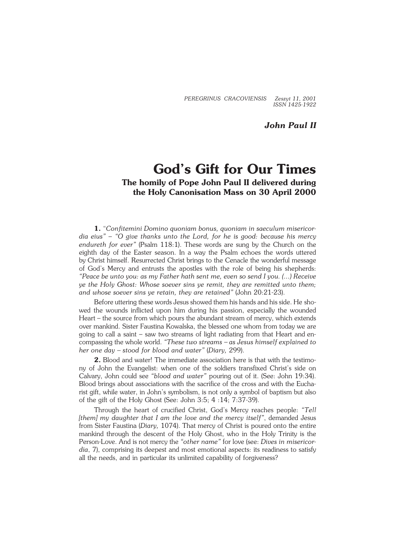*PEREGRINUS CRACOVIENSIS Zeszyt 11, 2001 ISSN 1425−1922*

*John Paul II*

## **God's Gift for Our Times The homily of Pope John Paul II delivered during the Holy Canonisation Mass on 30 April 2000**

**1.** "*Confitemini Domino quoniam bonus, quoniam in saeculum misericor− dia eius"* – *"O give thanks unto the Lord, for he is good: because his mercy endureth for ever"* (Psalm 118:1). These words are sung by the Church on the eighth day of the Easter season. In a way the Psalm echoes the words uttered byChrist himself. Resurrected Christ brings to the Cenacle the wonderful message of God's Mercy and entrusts the apostles with the role of being his shepherds: *"Peace be unto you: as my Father hath sent me, even so send I you. (...) Receive ye the Holy Ghost: Whose soever sins ye remit, they are remitted unto them; and whose soever sins ye retain, they are retained"* (John 20:21−23).

Before uttering these words Jesus showed them his hands and his side. He showed the wounds inflicted upon him during his passion, especially the wounded Heart – the source from which pours the abundant stream of mercy, which extends over mankind. Sister Faustina Kowalska, the blessed one whom from today we are going to call a saint – saw two streams of light radiating from that Heart anden− compassing the whole world. *"These two streams – as Jesus himself explained to her one day – stood for blood and water"* (*Diary,* 299).

2. Blood and water! The immediate association here is that with the testimony of John the Evangelist: when one of the soldiers transfixed Christ's side on Calvary, John could see *"blood and water"* pouring out of it. (See: John 19:34). Blood brings about associations with the sacrifice of the cross and with the Eucha− rist gift, while water, in John's symbolism, is not only a symbol of baptism but also of the gift of the Holy Ghost (See: John 3:5; 4 :14; 7:37−39).

Through the heart of crucified Christ, God's Mercy reaches people: *"Tell [them] my daughter that I am the love and the mercy itself"*, demanded Jesus from Sister Faustina (*Diary,* 1074). That mercy of Christ is poured onto the entire mankind through the descent of the Holy Ghost, who in the Holy Trinity is the Person−Love. And is not mercy the *"other name"* for love (see: *Dives in misericor− dia*, 7), comprising its deepest and most emotional aspects: its readiness to satisfy all the needs, and in particular its unlimited capability of forgiveness?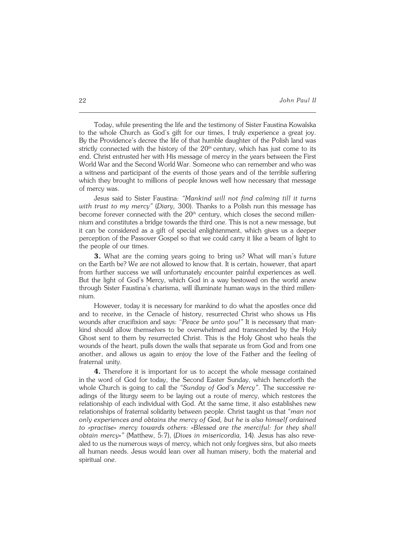Today, while presenting the life and the testimony of Sister Faustina Kowalska to the whole Church as God's gift for our times, I truly experience a great joy. Bythe Providence's decree the life of that humble daughter of the Polish land was strictly connected with the history of the  $20<sup>th</sup>$  century, which has just come to its end. Christ entrusted her with His message of mercy in the years between the First World War and the Second World War. Someone who can remember and who was a witness and participant of the events of those years and of the terrible suffering which they brought to millions of people knows well how necessary that message of mercy was.

Jesus said to Sister Faustina: *"Mankind will not find calming till it turns with trust to my mercy"* (*Diary,* 300). Thanks to a Polish nun this message has become forever connected with the 20<sup>th</sup> century, which closes the second millennium and constitutes a bridge towards the third one. This is not a new message, but it can be considered as a gift of special enlightenment, which gives us a deeper perception of the Passover Gospel so that we could carry it like a beam of light to the people of our times.

**3.** What are the coming years going to bring us? What will man's future ontheEarth be? We are not allowed to know that. It is certain, however, that apart from further success we will unfortunately encounter painful experiences as well. But the light of God's Mercy, which God in a way bestowed on the world anew through Sister Faustina's charisma, will illuminate human ways in the third millen− nium.

However, today it is necessary for mankind to do what the apostles once did and to receive, in the Cenacle of history, resurrected Christ who shows us His wounds after crucifixion and says: "*Peace be unto you!"* It is necessary that man− kind should allow themselves to be overwhelmed and transcended by the Holy Ghost sent to them by resurrected Christ. This is the Holy Ghost who heals the wounds of the heart, pulls down the walls that separate us from God and from one another, and allows us again to enjoy the love of the Father and the feeling of fraternal unity.

**4.** Therefore it is important for us to accept the whole message contained in the word of God for today, the Second Easter Sunday, which henceforth the whole Church is going to call the *"Sunday of God's Mercy"*. The successive re− adings of the liturgy seem to be laying out a route of mercy, which restores the relationship of each individual with God. At the same time, it also establishes new relationships of fraternal solidarity between people. Christ taught us that *"man not only experiences and obtains the mercy of God, but he is also himself ordained to «practise» mercy towards others: «Blessed are the merciful: for they shall obtain mercy»"* (Matthew, 5:7), (*Dives in misericordia,* 14). Jesus has also reve− aled to us the numerous ways of mercy, which not only forgives sins, but also meets all human needs. Jesus would lean over all human misery, both the material and spiritual one.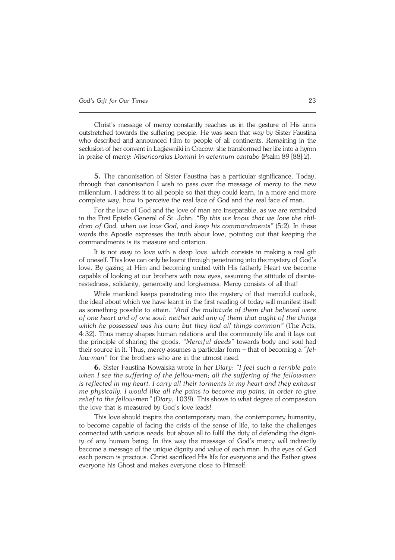Christ's message of mercy constantly reaches us in the gesture of His arms outstretched towards the suffering people. He was seen that way by Sister Faustina who described and announced Him to people of all continents. Remaining in the seclusion of her convent in Łagiewniki in Cracow, she transformed her life into a hymn in praise of mercy: *Misericordias Domini in aeternum cantabo* (Psalm89[88]:2).

**5.** The canonisation of Sister Faustina has a particular significance. Today, through that canonisation I wish to pass over the message of mercy to the new millennium. I address it to all people so that they could learn, in a more and more complete way, how to perceive the real face of God and the real face of man.

For the love of God and the love of man are inseparable, as we are reminded in the First Epistle General of St. John: *"By this we know that we love the chil− dren of God, when we love God, and keep his commandments"* (5:2). In these words the Apostle expresses the truth about love, pointing out that keeping the commandments is its measure and criterion.

It is not easy to love with a deep love, which consists in making a real gift of oneself. This love can only be learnt through penetrating into the mystery of God's love. By gazing at Him and becoming united with His fatherly Heart we become capable of looking at our brothers with new eyes, assuming the attitude of disinte− restedness, solidarity, generosity and forgiveness. Mercy consists of all that!

While mankind keeps penetrating into the mystery of that merciful outlook, the ideal about which we have learnt in the first reading of today will manifest itself as something possible to attain. *"And the multitude of them that believed were* of one heart and of one soul: neither said any of them that ought of the things *which he possessed was his own; but they had all things common"* (The Acts, 4:32). Thus mercy shapes human relations and the community life and it lays out the principle of sharing the goods. "Merciful deeds" towards body and soul had their source in it. Thus, mercy assumes a particular form – that of becoming a*"fel− low−man"* for the brothers who are in the utmost need.

**6.** Sister Faustina Kowalska wrote in her *Diary*: *"I feel such a terrible pain when I see the suffering of the fellow−men; all the suffering of the fellow−men isreflected in my heart. I carry all their torments in my heart and they exhaust me physically. I would like all the pains to become my pains, in order to give relief to the fellow−men"* (*Diary*, 1039). This shows to what degree of compassion the love that is measured by God's love leads!

This love should inspire the contemporary man, the contemporary humanity, to become capable of facing the crisis of the sense of life, to take the challenges connected with various needs, but above all to fulfil the duty of defending the digni− ty of any human being. In this way the message of God's mercy will indirectly become a message of the unique dignity and value of each man. In the eyes of God each person is precious. Christ sacrificed His life for everyone and the Father gives everyone his Ghost and makes everyone close to Himself.